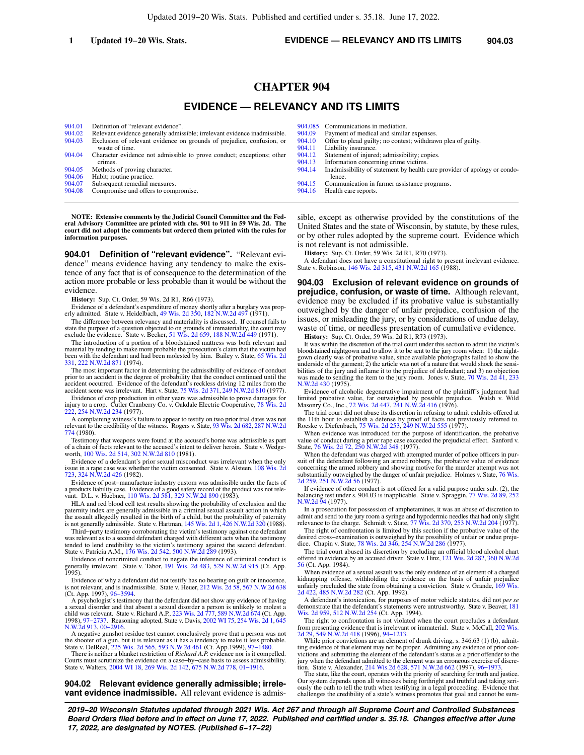# **CHAPTER 904**

# **EVIDENCE — RELEVANCY AND ITS LIMITS**

| 904.01 | Definition of "relevant evidence".                                                      |
|--------|-----------------------------------------------------------------------------------------|
| 904.02 | Relevant evidence generally admissible; irrelevant evidence inadmissible.               |
| 904.03 | Exclusion of relevant evidence on grounds of prejudice, confusion, or<br>waste of time. |
| 904.04 | Character evidence not admissible to prove conduct; exceptions; other<br>crimes.        |
| 904.05 | Methods of proving character.                                                           |
| 904.06 | Habit; routine practice.                                                                |
| 904.07 | Subsequent remedial measures.                                                           |
|        |                                                                                         |

[904.08](https://docs.legis.wisconsin.gov/document/statutes/904.08) Compromise and offers to compromise.

**NOTE: Extensive comments by the Judicial Council Committee and the Federal Advisory Committee are printed with chs. 901 to 911 in 59 Wis. 2d. The court did not adopt the comments but ordered them printed with the rules for information purposes.**

**904.01 Definition of "relevant evidence".** "Relevant evidence" means evidence having any tendency to make the existence of any fact that is of consequence to the determination of the action more probable or less probable than it would be without the evidence.

**History:** Sup. Ct. Order, 59 Wis. 2d R1, R66 (1973).

Evidence of a defendant's expenditure of money shortly after a burglary was prop-erly admitted. State v. Heidelbach, [49 Wis. 2d 350](https://docs.legis.wisconsin.gov/document/courts/49%20Wis.%202d%20350), [182 N.W.2d 497](https://docs.legis.wisconsin.gov/document/courts/182%20N.W.2d%20497) (1971).

The difference between relevancy and materiality is discussed. If counsel fails to state the purpose of a question objected to on grounds of immateriality, the court may exclude the evidence. State v. Becker, [51 Wis. 2d 659,](https://docs.legis.wisconsin.gov/document/courts/51%20Wis.%202d%20659) [188 N.W.2d 449](https://docs.legis.wisconsin.gov/document/courts/188%20N.W.2d%20449) (1971).

The introduction of a portion of a bloodstained mattress was both relevant and material by tending to make more probable the prosecution's claim that the victim had been with the defendant and had been molested by him. Bailey v. State, [65 Wis. 2d](https://docs.legis.wisconsin.gov/document/courts/65%20Wis.%202d%20331) [331](https://docs.legis.wisconsin.gov/document/courts/65%20Wis.%202d%20331), [222 N.W.2d 871](https://docs.legis.wisconsin.gov/document/courts/222%20N.W.2d%20871) (1974).

The most important factor in determining the admissibility of evidence of conduct prior to an accident is the degree of probability that the conduct continued until the accident occurred. Evidence of the defendant's reckless driving 12 miles from the accident scene was irrelevant. Hart v. State, [75 Wis. 2d 371](https://docs.legis.wisconsin.gov/document/courts/75%20Wis.%202d%20371), [249 N.W.2d 810](https://docs.legis.wisconsin.gov/document/courts/249%20N.W.2d%20810) (1977).

Evidence of crop production in other years was admissible to prove damages for injury to a crop. Cutler Cranberry Co. v. Oakdale Electric Cooperative, [78 Wis. 2d](https://docs.legis.wisconsin.gov/document/courts/78%20Wis.%202d%20222) [222](https://docs.legis.wisconsin.gov/document/courts/78%20Wis.%202d%20222), [254 N.W.2d 234](https://docs.legis.wisconsin.gov/document/courts/254%20N.W.2d%20234) (1977).

A complaining witness's failure to appear to testify on two prior trial dates was not relevant to the credibility of the witness. Rogers v. State, [93 Wis. 2d 682,](https://docs.legis.wisconsin.gov/document/courts/93%20Wis.%202d%20682) [287 N.W.2d](https://docs.legis.wisconsin.gov/document/courts/287%20N.W.2d%20774) [774](https://docs.legis.wisconsin.gov/document/courts/287%20N.W.2d%20774) (1980).

Testimony that weapons were found at the accused's home was admissible as part of a chain of facts relevant to the accused's intent to deliver heroin. State v. Wedge-worth, [100 Wis. 2d 514,](https://docs.legis.wisconsin.gov/document/courts/100%20Wis.%202d%20514) [302 N.W.2d 810](https://docs.legis.wisconsin.gov/document/courts/302%20N.W.2d%20810) (1981).

Evidence of a defendant's prior sexual misconduct was irrelevant when the only issue in a rape case was whether the victim consented. State v. Alsteen, [108 Wis. 2d](https://docs.legis.wisconsin.gov/document/courts/108%20Wis.%202d%20723) [723](https://docs.legis.wisconsin.gov/document/courts/108%20Wis.%202d%20723), [324 N.W.2d 426](https://docs.legis.wisconsin.gov/document/courts/324%20N.W.2d%20426) (1982).

Evidence of post−manufacture industry custom was admissible under the facts of a products liability case. Evidence of a good safety record of the product was not rele-vant. D.L. v. Huebner, [110 Wis. 2d 581](https://docs.legis.wisconsin.gov/document/courts/110%20Wis.%202d%20581), [329 N.W.2d 890](https://docs.legis.wisconsin.gov/document/courts/329%20N.W.2d%20890) (1983).

HLA and red blood cell test results showing the probability of exclusion and the paternity index are generally admissible in a criminal sexual assault action in which the assault allegedly resulted in the birth of a child, but the probability of paternity is not generally admissible. State v. Hartman, [145 Wis. 2d 1,](https://docs.legis.wisconsin.gov/document/courts/145%20Wis.%202d%201) [426 N.W.2d 320](https://docs.legis.wisconsin.gov/document/courts/426%20N.W.2d%20320) (1988).

Third−party testimony corroborating the victim's testimony against one defendant was relevant as to a second defendant charged with different acts when the testimony tended to lend credibility to the victim's testimony against the second defendant.<br>State v. Patricia A.M., [176 Wis. 2d 542](https://docs.legis.wisconsin.gov/document/courts/176%20Wis.%202d%20542), [500 N.W.2d 289](https://docs.legis.wisconsin.gov/document/courts/500%20N.W.2d%20289) (1993).

Evidence of noncriminal conduct to negate the inference of criminal conduct is generally irrelevant. State v. Tabor, [191 Wis. 2d 483,](https://docs.legis.wisconsin.gov/document/courts/191%20Wis.%202d%20483) [529 N.W.2d 915](https://docs.legis.wisconsin.gov/document/courts/529%20N.W.2d%20915) (Ct. App. 1995).

Evidence of why a defendant did not testify has no bearing on guilt or innocence, is not relevant, and is inadmissible. State v. Heuer, [212 Wis. 2d 58](https://docs.legis.wisconsin.gov/document/courts/212%20Wis.%202d%2058), [567 N.W.2d 638](https://docs.legis.wisconsin.gov/document/courts/567%20N.W.2d%20638) (Ct. App. 1997), [96−3594](https://docs.legis.wisconsin.gov/document/wicourtofappeals/96-3594).

A psychologist's testimony that the defendant did not show any evidence of having<br>a sexual disorder and that absent a sexual disorder a person is unlikely to molest a<br>child was relevant. State v. Richard A.P., 223 Wis. 2d

A negative gunshot residue test cannot conclusively prove that a person was not the shooter of a gun, but it is relevant as it has a tendency to make it less probable. State v. DelReal, [225 Wis. 2d 565,](https://docs.legis.wisconsin.gov/document/courts/225%20Wis.%202d%20565) [593 N.W.2d 461](https://docs.legis.wisconsin.gov/document/courts/593%20N.W.2d%20461) (Ct. App.1999), [97−1480.](https://docs.legis.wisconsin.gov/document/wicourtofappeals/97-1480)

There is neither a blanket restriction of *Richard A.P.* evidence nor is it compelled. Courts must scrutinize the evidence on a case−by−case basis to assess admissibility. State v. Walters, [2004 WI 18](https://docs.legis.wisconsin.gov/document/courts/2004%20WI%2018), [269 Wis. 2d 142,](https://docs.legis.wisconsin.gov/document/courts/269%20Wis.%202d%20142) [675 N.W.2d 778](https://docs.legis.wisconsin.gov/document/courts/675%20N.W.2d%20778), [01−1916.](https://docs.legis.wisconsin.gov/document/wisupremecourt/01-1916)

**904.02 Relevant evidence generally admissible; irrelevant evidence inadmissible.** All relevant evidence is admis-

| 904.085 | Communications in mediation.                                              |
|---------|---------------------------------------------------------------------------|
| 904.09  | Payment of medical and similar expenses.                                  |
| 904.10  | Offer to plead guilty; no contest; withdrawn plea of guilty.              |
| 904.11  | Liability insurance.                                                      |
| 904.12  | Statement of injured; admissibility; copies.                              |
| 904.13  | Information concerning crime victims.                                     |
| 904.14  | Inadmissibility of statement by health care provider of apology or condo- |
|         | lence.                                                                    |
| 904.15  | Communication in farmer assistance programs.                              |
| 904.16  | Health care reports.                                                      |
|         |                                                                           |

sible, except as otherwise provided by the constitutions of the United States and the state of Wisconsin, by statute, by these rules, or by other rules adopted by the supreme court. Evidence which is not relevant is not admissible.

**History:** Sup. Ct. Order, 59 Wis. 2d R1, R70 (1973).

A defendant does not have a constitutional right to present irrelevant evidence. State v. Robinson, [146 Wis. 2d 315,](https://docs.legis.wisconsin.gov/document/courts/146%20Wis.%202d%20315) [431 N.W.2d 165](https://docs.legis.wisconsin.gov/document/courts/431%20N.W.2d%20165) (1988).

**904.03 Exclusion of relevant evidence on grounds of prejudice, confusion, or waste of time.** Although relevant, evidence may be excluded if its probative value is substantially outweighed by the danger of unfair prejudice, confusion of the issues, or misleading the jury, or by considerations of undue delay, waste of time, or needless presentation of cumulative evidence.

**History:** Sup. Ct. Order, 59 Wis. 2d R1, R73 (1973).

It was within the discretion of the trial court under this section to admit the victim's bloodstained nightgown and to allow it to be sent to the jury room when: 1) the night-gown clearly was of probative value, since available photographs failed to show the underside of the garment; 2) the article was not of a nature that would shock the sensi-bilities of the jury and inflame it to the prejudice of defendant; and 3) no objection was made to sending the item to the jury room. Jones v. State, [70 Wis. 2d 41](https://docs.legis.wisconsin.gov/document/courts/70%20Wis.%202d%2041), [233](https://docs.legis.wisconsin.gov/document/courts/233%20N.W.2d%20430) [N.W.2d 430](https://docs.legis.wisconsin.gov/document/courts/233%20N.W.2d%20430) (1975).

Evidence of alcoholic degenerative impairment of the plaintiff's judgment had limited probative value, far outweighed by possible prejudice. Walsh v. Wild limited probative value, far outweighed by possible prejudice.<br>Masonry Co., Inc., [72 Wis. 2d 447,](https://docs.legis.wisconsin.gov/document/courts/72%20Wis.%202d%20447) [241 N.W.2d 416](https://docs.legis.wisconsin.gov/document/courts/241%20N.W.2d%20416) (1976).

The trial court did not abuse its discretion in refusing to admit exhibits offered at the 11th hour to establish a defense by proof of facts not previously referred to.<br>Roeske v. Diefenbach, [75 Wis. 2d 253](https://docs.legis.wisconsin.gov/document/courts/75%20Wis.%202d%20253), [249 N.W.2d 555](https://docs.legis.wisconsin.gov/document/courts/249%20N.W.2d%20555) (1977).

When evidence was introduced for the purpose of identification, the probative value of conduct during a prior rape case exceeded the prejudicial effect. Sanford v. State, [76 Wis. 2d 72,](https://docs.legis.wisconsin.gov/document/courts/76%20Wis.%202d%2072) [250 N.W.2d 348](https://docs.legis.wisconsin.gov/document/courts/250%20N.W.2d%20348) (1977).

When the defendant was charged with attempted murder of police officers in pursuit of the defendant following an armed robbery, the probative value of evidence concerning the armed robbery and showing motive for the murder substantially outweighed by the danger of unfair prejudice. Holmes v. State, [76 Wis.](https://docs.legis.wisconsin.gov/document/courts/76%20Wis.%202d%20259) [2d 259](https://docs.legis.wisconsin.gov/document/courts/76%20Wis.%202d%20259), [251 N.W.2d 56](https://docs.legis.wisconsin.gov/document/courts/251%20N.W.2d%2056) (1977).

If evidence of other conduct is not offered for a valid purpose under sub. (2), the balancing test under s. 904.03 is inapplicable. State v. Spraggin, [77 Wis. 2d 89](https://docs.legis.wisconsin.gov/document/courts/77%20Wis.%202d%2089), [252](https://docs.legis.wisconsin.gov/document/courts/252%20N.W.2d%2094) [N.W.2d 94](https://docs.legis.wisconsin.gov/document/courts/252%20N.W.2d%2094) (1977).

In a prosecution for possession of amphetamines, it was an abuse of discretion to admit and send to the jury room a syringe and hypodermic needles that had only slight relevance to the charge. Schmidt v. State, [77 Wis. 2d 370,](https://docs.legis.wisconsin.gov/document/courts/77%20Wis.%202d%20370) [253 N.W.2d 204](https://docs.legis.wisconsin.gov/document/courts/253%20N.W.2d%20204) (1977).

The right of confrontation is limited by this section if the probative value of the desired cross–examination is outweighed by the possibility of unfair or undue preju-<br>dice. Chapin v. State, [78 Wis. 2d 346,](https://docs.legis.wisconsin.gov/document/courts/78%20Wis.%202d%20346) [254 N.W.2d 286](https://docs.legis.wisconsin.gov/document/courts/254%20N.W.2d%20286) (1977).

The trial court abused its discretion by excluding an official blood alcohol chart offered in evidence by an accused driver. State v. Hinz, [121 Wis. 2d 282](https://docs.legis.wisconsin.gov/document/courts/121%20Wis.%202d%20282), [360 N.W.2d](https://docs.legis.wisconsin.gov/document/courts/360%20N.W.2d%2056) [56](https://docs.legis.wisconsin.gov/document/courts/360%20N.W.2d%2056) (Ct. App. 1984).

When evidence of a sexual assault was the only evidence of an element of a charged kidnapping offense, withholding the evidence on the basis of unfair prejudice unfairly precluded the state from obtaining a conviction. State v. Grande, [169 Wis.](https://docs.legis.wisconsin.gov/document/courts/169%20Wis.%202d%20422) [2d 422](https://docs.legis.wisconsin.gov/document/courts/169%20Wis.%202d%20422), [485 N.W.2d 282](https://docs.legis.wisconsin.gov/document/courts/485%20N.W.2d%20282) (Ct. App. 1992).

A defendant's intoxication, for purposes of motor vehicle statutes, did not *per se* demonstrate that the defendant's statements were untrustworthy. State v. Beaver, [181](https://docs.legis.wisconsin.gov/document/courts/181%20Wis.%202d%20959) [Wis. 2d 959,](https://docs.legis.wisconsin.gov/document/courts/181%20Wis.%202d%20959) [512 N.W.2d 254](https://docs.legis.wisconsin.gov/document/courts/512%20N.W.2d%20254) (Ct. App. 1994).

The right to confrontation is not violated when the court precludes a defendant from presenting evidence that is irrelevant or immaterial. State v. McCall, [202 Wis.](https://docs.legis.wisconsin.gov/document/courts/202%20Wis.%202d%2029)<br>[2d 29,](https://docs.legis.wisconsin.gov/document/courts/202%20Wis.%202d%2029) [549 N.W.2d 418](https://docs.legis.wisconsin.gov/document/courts/549%20N.W.2d%20418) (1996), 94–1213.

While prior convictions are an element of drunk driving, s. 346.63 (1) (b), admitting evidence of that element may not be proper. Admitting any evidence of prior con-victions and submitting the element of the defendant's status as a prior offender to the jury when the defendant admitted to the element was an erroneous exercise of discre-tion. State v. Alexander, [214 Wis.2d 628](https://docs.legis.wisconsin.gov/document/courts/214%20Wis.2d%20628), [571 N.W.2d 662](https://docs.legis.wisconsin.gov/document/courts/571%20N.W.2d%20662) (1997), [96−1973](https://docs.legis.wisconsin.gov/document/wisupremecourt/96-1973).

The state, like the court, operates with the priority of searching for truth and justice. Our system depends upon all witnesses being forthright and truthful and taking seriously the oath to tell the truth when testifying in a legal proceeding. Evidence that challenges the credibility of a state's witness promotes that goal and cannot be sum-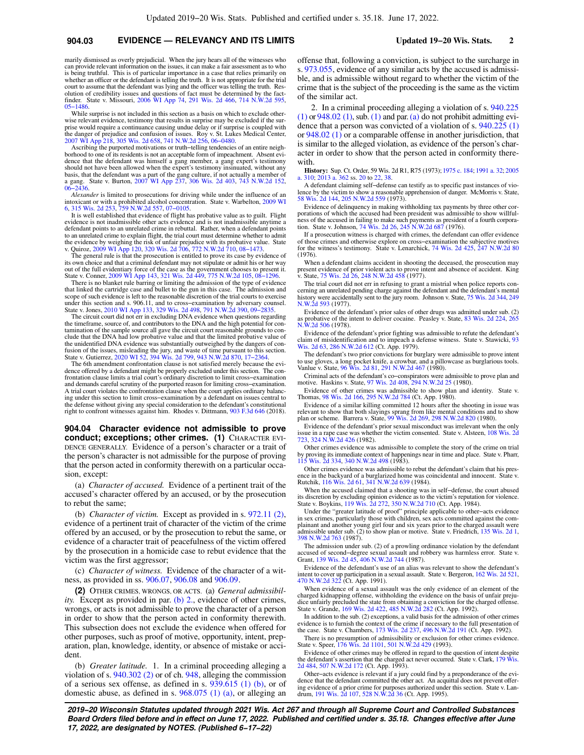# **904.03 EVIDENCE — RELEVANCY AND ITS LIMITS Updated 19−20 Wis. Stats. 2**

marily dismissed as overly prejudicial. When the jury hears all of the witnesses who can provide relevant information on the issues, it can make a fair assessment as to who is being truthful. This is of particular importance in a case that relies primarily on whether an officer or the defendant is telling the truth. It is not appropriate for the trial court to assume that the defendant was lying and the officer was telling the truth. Resolution of credibility issues and questions of fact must be determined by the fact-finder. State v. Missouri, [2006 WI App 74,](https://docs.legis.wisconsin.gov/document/courts/2006%20WI%20App%2074) [291 Wis. 2d 466](https://docs.legis.wisconsin.gov/document/courts/291%20Wis.%202d%20466), [714 N.W.2d 595](https://docs.legis.wisconsin.gov/document/courts/714%20N.W.2d%20595), [05−1486](https://docs.legis.wisconsin.gov/document/wicourtofappeals/05-1486).

While surprise is not included in this section as a basis on which to exclude otherwise relevant evidence, testimony that results in surprise may be excluded if the surprise would require a continuance causing undue delay or if surprise is coupled with the danger of prejudice and confusion of issues. Roy v. St. Lukes Medical Center, [2007 WI App 218,](https://docs.legis.wisconsin.gov/document/courts/2007%20WI%20App%20218) [305 Wis. 2d 658](https://docs.legis.wisconsin.gov/document/courts/305%20Wis.%202d%20658), [741 N.W.2d 256,](https://docs.legis.wisconsin.gov/document/courts/741%20N.W.2d%20256) [06−0480.](https://docs.legis.wisconsin.gov/document/wicourtofappeals/06-0480)

Ascribing the purported motivations or truth-telling tendencies of an entire neighborhood to one of its residents is not an acceptable form of impeachment. Absent evidence that the defendant was himself a gang member, a ga should not have been allowed when the expert's testimony insinuated, without any basis, that the defendant was a part of the gang culture, if not actually a member of a gang. State v. Burton, [2007 WI App 237](https://docs.legis.wisconsin.gov/document/courts/2007%20WI%20App%20237), [306 Wis. 2d 403,](https://docs.legis.wisconsin.gov/document/courts/306%20Wis.%202d%20403) [743 N.W.2d 152](https://docs.legis.wisconsin.gov/document/courts/743%20N.W.2d%20152), [06−2436](https://docs.legis.wisconsin.gov/document/wicourtofappeals/06-2436).

*Alexander* is limited to prosecutions for driving while under the influence of an intoxicant or with a prohibited alcohol concentration. State v. Warbelton, [2009 WI](https://docs.legis.wisconsin.gov/document/courts/2009%20WI%206) [6](https://docs.legis.wisconsin.gov/document/courts/2009%20WI%206), [315 Wis. 2d 253,](https://docs.legis.wisconsin.gov/document/courts/315%20Wis.%202d%20253) [759 N.W.2d 557,](https://docs.legis.wisconsin.gov/document/courts/759%20N.W.2d%20557) [07−0105.](https://docs.legis.wisconsin.gov/document/wisupremecourt/07-0105)

It is well established that evidence of flight has probative value as to guilt. Flight evidence is not inadmissible other acts evidence and is not inadmissible anytime a defendant points to an unrelated crime in rebuttal. Rather, when a defendant points to an unrelated crime to explain flight, the trial court must determine whether to admit the evidence by weighing the risk of unfair prejudice with its probative value. State v. Quiroz, [2009 WI App 120](https://docs.legis.wisconsin.gov/document/courts/2009%20WI%20App%20120), [320 Wis. 2d 706,](https://docs.legis.wisconsin.gov/document/courts/320%20Wis.%202d%20706) [772 N.W.2d 710](https://docs.legis.wisconsin.gov/document/courts/772%20N.W.2d%20710), [08−1473.](https://docs.legis.wisconsin.gov/document/wicourtofappeals/08-1473)

The general rule is that the prosecution is entitled to prove its case by evidence of its own choice and that a criminal defendant may not stipulate or admit his or her way out of the full evidentiary force of the case as the government chooses to present it. State v. Conner, [2009 WI App 143,](https://docs.legis.wisconsin.gov/document/courts/2009%20WI%20App%20143) [321 Wis. 2d 449](https://docs.legis.wisconsin.gov/document/courts/321%20Wis.%202d%20449), [775 N.W.2d 105](https://docs.legis.wisconsin.gov/document/courts/775%20N.W.2d%20105), [08−1296](https://docs.legis.wisconsin.gov/document/wicourtofappeals/08-1296).

There is no blanket rule barring or limiting the admission of the type of evidence that linked the cartridge case and bullet to the gun in this case. The admission and scope of such evidence is left to the reasonable discretion of the trial courts to exercise under this section and s. 906.11, and to cross−examination by adversary counsel. State v. Jones, [2010 WI App 133,](https://docs.legis.wisconsin.gov/document/courts/2010%20WI%20App%20133) [329 Wis. 2d 498,](https://docs.legis.wisconsin.gov/document/courts/329%20Wis.%202d%20498) [791 N.W.2d 390](https://docs.legis.wisconsin.gov/document/courts/791%20N.W.2d%20390), [09−2835](https://docs.legis.wisconsin.gov/document/wicourtofappeals/09-2835).

The circuit court did not err in excluding DNA evidence when questions regarding the timeframe, source of, and contributors to the DNA and the high potential for contamination of the sample source all gave the circuit court reasonable grounds to conclude that the DNA had low probative value and that the limited probative value of the unidentified DNA evidence was substantially outweighed by the dangers of con-<br>fusion of the issues, misleading the jury, and waste of time pursuant to this section.<br>State v. Gutierrez, [2020 WI 52](https://docs.legis.wisconsin.gov/document/courts/2020%20WI%2052), [394 Wis. 2d 799](https://docs.legis.wisconsin.gov/document/courts/394%20Wis.%202d%20799), 943

The 6th amendment confrontation clause is not satisfied merely because the evidence offered by a defendant might be properly excluded under this section. The con-frontation clause limits a trial court's ordinary discretion to limit cross−examination and demands careful scrutiny of the purported reason for limiting cross−examination. A trial court violates the confrontation clause when the court applies ordinary balanc-ing under this section to limit cross−examination by a defendant on issues central to the defense without giving any special consideration to the defendant's constitutional right to confront witnesses against him. Rhodes v. Dittmann, [903 F.3d 646](https://docs.legis.wisconsin.gov/document/courts/903%20F.3d%20646) (2018).

**904.04 Character evidence not admissible to prove conduct; exceptions; other crimes. (1)** CHARACTER EVI-DENCE GENERALLY. Evidence of a person's character or a trait of the person's character is not admissible for the purpose of proving that the person acted in conformity therewith on a particular occasion, except:

(a) *Character of accused.* Evidence of a pertinent trait of the accused's character offered by an accused, or by the prosecution to rebut the same;

(b) *Character of victim.* Except as provided in s. [972.11 \(2\),](https://docs.legis.wisconsin.gov/document/statutes/972.11(2)) evidence of a pertinent trait of character of the victim of the crime offered by an accused, or by the prosecution to rebut the same, or evidence of a character trait of peacefulness of the victim offered by the prosecution in a homicide case to rebut evidence that the victim was the first aggressor;

(c) *Character of witness.* Evidence of the character of a witness, as provided in ss. [906.07,](https://docs.legis.wisconsin.gov/document/statutes/906.07) [906.08](https://docs.legis.wisconsin.gov/document/statutes/906.08) and [906.09](https://docs.legis.wisconsin.gov/document/statutes/906.09).

**(2)** OTHER CRIMES, WRONGS, OR ACTS. (a) *General admissibility.* Except as provided in par. [\(b\) 2.](https://docs.legis.wisconsin.gov/document/statutes/904.04(2)(b)2.), evidence of other crimes, wrongs, or acts is not admissible to prove the character of a person in order to show that the person acted in conformity therewith. This subsection does not exclude the evidence when offered for other purposes, such as proof of motive, opportunity, intent, preparation, plan, knowledge, identity, or absence of mistake or accident.

(b) *Greater latitude.* 1. In a criminal proceeding alleging a violation of s. [940.302 \(2\)](https://docs.legis.wisconsin.gov/document/statutes/940.302(2)) or of ch. [948](https://docs.legis.wisconsin.gov/document/statutes/ch.%20948), alleging the commission of a serious sex offense, as defined in s.  $939.615$  (1) (b), or of domestic abuse, as defined in s. [968.075 \(1\) \(a\),](https://docs.legis.wisconsin.gov/document/statutes/968.075(1)(a)) or alleging an offense that, following a conviction, is subject to the surcharge in s. [973.055,](https://docs.legis.wisconsin.gov/document/statutes/973.055) evidence of any similar acts by the accused is admissible, and is admissible without regard to whether the victim of the crime that is the subject of the proceeding is the same as the victim of the similar act.

2. In a criminal proceeding alleging a violation of s. [940.225](https://docs.legis.wisconsin.gov/document/statutes/940.225(1))  $(1)$  or 948.02  $(1)$ , sub.  $(1)$  and par.  $(a)$  do not prohibit admitting evidence that a person was convicted of a violation of s. [940.225 \(1\)](https://docs.legis.wisconsin.gov/document/statutes/940.225(1)) or [948.02 \(1\)](https://docs.legis.wisconsin.gov/document/statutes/948.02(1)) or a comparable offense in another jurisdiction, that is similar to the alleged violation, as evidence of the person's character in order to show that the person acted in conformity therewith.

**History:** Sup. Ct. Order, 59 Wis. 2d R1, R75 (1973); [1975 c. 184;](https://docs.legis.wisconsin.gov/document/acts/1975/184) [1991 a. 32](https://docs.legis.wisconsin.gov/document/acts/1991/32); [2005](https://docs.legis.wisconsin.gov/document/acts/2005/310) [a. 310](https://docs.legis.wisconsin.gov/document/acts/2005/310); [2013 a. 362](https://docs.legis.wisconsin.gov/document/acts/2013/362) ss. [20](https://docs.legis.wisconsin.gov/document/acts/2013/362,%20s.%2020) to [22,](https://docs.legis.wisconsin.gov/document/acts/2013/362,%20s.%2022) [38](https://docs.legis.wisconsin.gov/document/acts/2013/362,%20s.%2038).

A defendant claiming self−defense can testify as to specific past instances of violence by the victim to show a reasonable apprehension of danger. McMorris v. State, [58 Wis. 2d 144,](https://docs.legis.wisconsin.gov/document/courts/58%20Wis.%202d%20144) [205 N.W.2d 559](https://docs.legis.wisconsin.gov/document/courts/205%20N.W.2d%20559) (1973).

Evidence of delinquency in making withholding tax payments by three other corporations of which the accused had been president was admissible to show willfulness of the accused in failing to make such payments as president of a fourth corpora-tion. State v. Johnson, [74 Wis. 2d 26](https://docs.legis.wisconsin.gov/document/courts/74%20Wis.%202d%2026), [245 N.W.2d 687](https://docs.legis.wisconsin.gov/document/courts/245%20N.W.2d%20687) (1976).

If a prosecution witness is charged with crimes, the defendant can offer evidence of those crimes and otherwise explore on cross–examination the subjective motives for the witness's testimony. State v. Lenarchick, [74 Wis. 2d 425,](https://docs.legis.wisconsin.gov/document/courts/74%20Wis.%202d%20425) [247 N.W.2d 80](https://docs.legis.wisconsin.gov/document/courts/247%20N.W.2d%2080) (1976).

When a defendant claims accident in shooting the deceased, the prosecution may present evidence of prior violent acts to prove intent and absence of accident. King v. State, [75 Wis. 2d 26](https://docs.legis.wisconsin.gov/document/courts/75%20Wis.%202d%2026), [248 N.W.2d 458](https://docs.legis.wisconsin.gov/document/courts/248%20N.W.2d%20458) (1977).

The trial court did not err in refusing to grant a mistrial when police reports concerning an unrelated pending charge against the defendant and the defendant's mental history were accidentally sent to the jury room. Johnson v. State, [75 Wis. 2d 344,](https://docs.legis.wisconsin.gov/document/courts/75%20Wis.%202d%20344) [249](https://docs.legis.wisconsin.gov/document/courts/249%20N.W.2d%20593) [N.W.2d 593](https://docs.legis.wisconsin.gov/document/courts/249%20N.W.2d%20593) (1977).

Evidence of the defendant's prior sales of other drugs was admitted under sub. (2) as probative of the intent to deliver cocaine. Peasley v. State, [83 Wis. 2d 224](https://docs.legis.wisconsin.gov/document/courts/83%20Wis.%202d%20224), [265](https://docs.legis.wisconsin.gov/document/courts/265%20N.W.2d%20506) [N.W.2d 506](https://docs.legis.wisconsin.gov/document/courts/265%20N.W.2d%20506) (1978).

Evidence of the defendant's prior fighting was admissible to refute the defendant's claim of misidentification and to impeach a defense witness. State v. Stawicki, [93](https://docs.legis.wisconsin.gov/document/courts/93%20Wis.%202d%2063) [Wis. 2d 63](https://docs.legis.wisconsin.gov/document/courts/93%20Wis.%202d%2063), [286 N.W.2d 612](https://docs.legis.wisconsin.gov/document/courts/286%20N.W.2d%20612) (Ct. App. 1979).

The defendant's two prior convictions for burglary were admissible to prove intent<br>to use gloves, a long pocket knife, a crowbar, and a pillowcase as burglarious tools.<br>Vanlue v. State, [96 Wis. 2d 81](https://docs.legis.wisconsin.gov/document/courts/96%20Wis.%202d%2081), [291 N.W.2d 467](https://docs.legis.wisconsin.gov/document/courts/291%20N.W.2d%20467) (1980)

Criminal acts of the defendant's co−conspirators were admissible to prove plan and motive. Haskins v. State, [97 Wis. 2d 408,](https://docs.legis.wisconsin.gov/document/courts/97%20Wis.%202d%20408) [294 N.W.2d 25](https://docs.legis.wisconsin.gov/document/courts/294%20N.W.2d%2025) (1980).

Evidence of other crimes was admissible to show plan and identity. State v. Thomas, [98 Wis. 2d 166,](https://docs.legis.wisconsin.gov/document/courts/98%20Wis.%202d%20166) [295 N.W.2d 784](https://docs.legis.wisconsin.gov/document/courts/295%20N.W.2d%20784) (Ct. App. 1980).

Evidence of a similar killing committed 12 hours after the shooting in issue was relevant to show that both slayings sprang from like mental conditions and to show<br>plan or scheme. Barrera v. State, [99 Wis. 2d 269](https://docs.legis.wisconsin.gov/document/courts/99%20Wis.%202d%20269), [298 N.W.2d 820](https://docs.legis.wisconsin.gov/document/courts/298%20N.W.2d%20820) (1980).

Evidence of the defendant's prior sexual misconduct was irrelevant when the only issue in a rape case was whether the victim consented. State v. Alsteen, [108 Wis. 2d](https://docs.legis.wisconsin.gov/document/courts/108%20Wis.%202d%20723) [723,](https://docs.legis.wisconsin.gov/document/courts/108%20Wis.%202d%20723) [324 N.W.2d 426](https://docs.legis.wisconsin.gov/document/courts/324%20N.W.2d%20426) (1982).

Other crimes evidence was admissible to complete the story of the crime on trial by proving its immediate context of happenings near in time and place. State v. Pharr, [115 Wis. 2d 334,](https://docs.legis.wisconsin.gov/document/courts/115%20Wis.%202d%20334) [340 N.W.2d 498](https://docs.legis.wisconsin.gov/document/courts/340%20N.W.2d%20498) (1983).

Other crimes evidence was admissible to rebut the defendant's claim that his pres-ence in the backyard of a burglarized home was coincidental and innocent. State v. Rutchik, [116 Wis. 2d 61,](https://docs.legis.wisconsin.gov/document/courts/116%20Wis.%202d%2061) [341 N.W.2d 639](https://docs.legis.wisconsin.gov/document/courts/341%20N.W.2d%20639) (1984).

When the accused claimed that a shooting was in self−defense, the court abused its discretion by excluding opinion evidence as to the victim's reputation for violence. State v. Boykins, [119 Wis. 2d 272,](https://docs.legis.wisconsin.gov/document/courts/119%20Wis.%202d%20272) [350 N.W.2d 710](https://docs.legis.wisconsin.gov/document/courts/350%20N.W.2d%20710) (Ct. App. 1984).

Under the "greater latitude of proof" principle applicable to other−acts evidence in sex crimes, particularly those with children, sex acts committed against the complainant and another young girl four and six years prior to the charged assault were admissible under sub. (2) to show plan or motive. State v. Friedrich, [135 Wis. 2d 1](https://docs.legis.wisconsin.gov/document/courts/135%20Wis.%202d%201), [398 N.W.2d 763](https://docs.legis.wisconsin.gov/document/courts/398%20N.W.2d%20763) (1987).

The admission under sub. (2) of a prowling ordinance violation by the defendant accused of second−degree sexual assault and robbery was harmless error. State v. Grant, [139 Wis. 2d 45](https://docs.legis.wisconsin.gov/document/courts/139%20Wis.%202d%2045), [406 N.W.2d 744](https://docs.legis.wisconsin.gov/document/courts/406%20N.W.2d%20744) (1987).

Evidence of the defendant's use of an alias was relevant to show the defendant's intent to cover up participation in a sexual assault. State v. Bergeron, [162 Wis. 2d 521](https://docs.legis.wisconsin.gov/document/courts/162%20Wis.%202d%20521), [470 N.W.2d 322](https://docs.legis.wisconsin.gov/document/courts/470%20N.W.2d%20322) (Ct. App. 1991).

When evidence of a sexual assault was the only evidence of an element of the charged kidnapping offense, withholding the evidence on the basis of unfair preju-<br>dice unfairly precluded the state from obtaining a conviction for the charged offense.<br>State v. Grande, [169 Wis. 2d 422,](https://docs.legis.wisconsin.gov/document/courts/169%20Wis.%202d%20422) [485 N.W.2d 282](https://docs.legis.wisconsin.gov/document/courts/485%20N.W.2d%20282) (Ct

In addition to the sub. (2) exceptions, a valid basis for the admission of other crimes evidence is to furnish the context of the crime if necessary to the full presentation of the case. State v. Chambers, [173 Wis. 2d 237,](https://docs.legis.wisconsin.gov/document/courts/173%20Wis.%202d%20237) [496 N.W.2d 191](https://docs.legis.wisconsin.gov/document/courts/496%20N.W.2d%20191) (Ct. App. 1992).

There is no presumption of admissibility or exclusion for other crimes evidence. State v. Speer, [176 Wis. 2d 1101,](https://docs.legis.wisconsin.gov/document/courts/176%20Wis.%202d%201101) [501 N.W.2d 429](https://docs.legis.wisconsin.gov/document/courts/501%20N.W.2d%20429) (1993).

Evidence of other crimes may be offered in regard to the question of intent despite the defendant's assertion that the charged act never occurred. State v. Clark, [179 Wis.](https://docs.legis.wisconsin.gov/document/courts/179%20Wis.%202d%20484) [2d 484](https://docs.legis.wisconsin.gov/document/courts/179%20Wis.%202d%20484), [507 N.W.2d 172](https://docs.legis.wisconsin.gov/document/courts/507%20N.W.2d%20172) (Ct. App. 1993).

Other−acts evidence is relevant if a jury could find by a preponderance of the evidence that the defendant committed the other act. An acquittal does not prevent offering evidence of a prior crime for purposes authorized under this section. State v. Lan-drum, [191 Wis. 2d 107](https://docs.legis.wisconsin.gov/document/courts/191%20Wis.%202d%20107), [528 N.W.2d 36](https://docs.legis.wisconsin.gov/document/courts/528%20N.W.2d%2036) (Ct. App. 1995).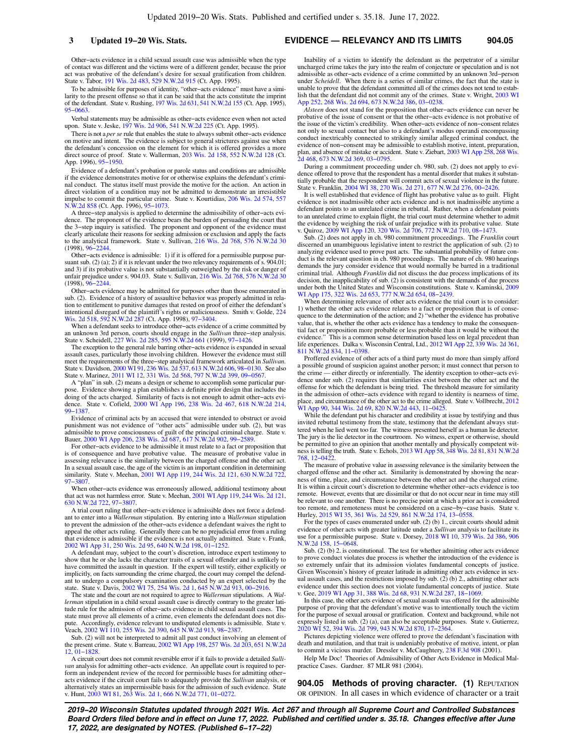Other−acts evidence in a child sexual assault case was admissible when the type of contact was different and the victims were of a different gender, because the prior act was probative of the defendant's desire for sexual gratification from children. State v. Tabor, [191 Wis. 2d 483,](https://docs.legis.wisconsin.gov/document/courts/191%20Wis.%202d%20483) [529 N.W.2d 915](https://docs.legis.wisconsin.gov/document/courts/529%20N.W.2d%20915) (Ct. App. 1995).

To be admissible for purposes of identity, "other−acts evidence" must have a similarity to the present offense so that it can be said that the acts constitute the imprint of the defendant. State v. Rushing, [197 Wis. 2d 631,](https://docs.legis.wisconsin.gov/document/courts/197%20Wis.%202d%20631) [541 N.W.2d 155](https://docs.legis.wisconsin.gov/document/courts/541%20N.W.2d%20155) (Ct. App. 1995), [95−0663](https://docs.legis.wisconsin.gov/document/wicourtofappeals/95-0663).

Verbal statements may be admissible as other−acts evidence even when not acted upon. State v. Jeske, [197 Wis. 2d 906](https://docs.legis.wisconsin.gov/document/courts/197%20Wis.%202d%20906), [541 N.W.2d 225](https://docs.legis.wisconsin.gov/document/courts/541%20N.W.2d%20225) (Ct. App. 1995).

There is not a *per se* rule that enables the state to always submit other−acts evidence on motive and intent. The evidence is subject to general strictures against use when the defendant's concession on the element for which it is offered provides a more direct source of proof. State v. Wallerman, [203 Wis. 2d 158](https://docs.legis.wisconsin.gov/document/courts/203%20Wis.%202d%20158), [552 N.W.2d 128](https://docs.legis.wisconsin.gov/document/courts/552%20N.W.2d%20128) (Ct. App. 1996), [95−1950.](https://docs.legis.wisconsin.gov/document/wicourtofappeals/95-1950)

Evidence of a defendant's probation or parole status and conditions are admissible if the evidence demonstrates motive for or otherwise explains the defendant's criminal conduct. The status itself must provide the motive for the action. An action in direct violation of a condition may not be admitted to demonstrate an irresistible impulse to commit the particular crime. State v. Kourtidias, [206 Wis. 2d 574,](https://docs.legis.wisconsin.gov/document/courts/206%20Wis.%202d%20574) [557](https://docs.legis.wisconsin.gov/document/courts/557%20N.W.2d%20858) [N.W.2d 858](https://docs.legis.wisconsin.gov/document/courts/557%20N.W.2d%20858) (Ct. App. 1996), [95−1073.](https://docs.legis.wisconsin.gov/document/wicourtofappeals/95-1073)

A three−step analysis is applied to determine the admissibility of other−acts evidence. The proponent of the evidence bears the burden of persuading the court that the 3−step inquiry is satisfied. The proponent and opponent of the evidence must clearly articulate their reasons for seeking admission or exclusion and apply the facts to the analytical framework. State v. Sullivan, [216 Wis. 2d 768](https://docs.legis.wisconsin.gov/document/courts/216%20Wis.%202d%20768), [576 N.W.2d 30](https://docs.legis.wisconsin.gov/document/courts/576%20N.W.2d%2030) (1998), [96−2244.](https://docs.legis.wisconsin.gov/document/wisupremecourt/96-2244)

Other−acts evidence is admissible: 1) if it is offered for a permissible purpose pursuant sub. (2) (a); 2) if it is relevant under the two relevancy requirements of s. 904.01; and 3) if its probative value is not substantially outweighed by the risk or danger of unfair prejudice under s. 904.03. State v. Sullivan, [216 Wis. 2d 768,](https://docs.legis.wisconsin.gov/document/courts/216%20Wis.%202d%20768) [576 N.W.2d 30](https://docs.legis.wisconsin.gov/document/courts/576%20N.W.2d%2030) (1998), [96−2244.](https://docs.legis.wisconsin.gov/document/wisupremecourt/96-2244)

Other−acts evidence may be admitted for purposes other than those enumerated in sub. (2). Evidence of a history of assaultive behavior was properly admitted in relation to entitlement to punitive damages that rested on proof of either the defendant's intentional disregard of the plaintiff's rights or maliciousness. Smith v. Golde, [224](https://docs.legis.wisconsin.gov/document/courts/224%20Wis.%202d%20518) [Wis. 2d 518,](https://docs.legis.wisconsin.gov/document/courts/224%20Wis.%202d%20518) [592 N.W.2d 287](https://docs.legis.wisconsin.gov/document/courts/592%20N.W.2d%20287) (Ct. App. 1998), [97−3404](https://docs.legis.wisconsin.gov/document/wicourtofappeals/97-3404).

When a defendant seeks to introduce other−acts evidence of a crime committed by an unknown 3rd person, courts should engage in the *Sullivan* three−step analysis. State v. Scheidell, [227 Wis. 2d 285,](https://docs.legis.wisconsin.gov/document/courts/227%20Wis.%202d%20285) [595 N.W.2d 661](https://docs.legis.wisconsin.gov/document/courts/595%20N.W.2d%20661) (1999), [97−1426.](https://docs.legis.wisconsin.gov/document/wisupremecourt/97-1426)

The exception to the general rule barring other−acts evidence is expanded in sexual assault cases, particularly those involving children. However the evidence must still meet the requirements of the three−step analytical framework articulated in *Sullivan.* State v. Davidson, [2000 WI 91,](https://docs.legis.wisconsin.gov/document/courts/2000%20WI%2091) [236 Wis. 2d 537](https://docs.legis.wisconsin.gov/document/courts/236%20Wis.%202d%20537), [613 N.W.2d 606,](https://docs.legis.wisconsin.gov/document/courts/613%20N.W.2d%20606) [98−0130](https://docs.legis.wisconsin.gov/document/wisupremecourt/98-0130). See also State v. Marinez, [2011 WI 12](https://docs.legis.wisconsin.gov/document/courts/2011%20WI%2012), [331 Wis. 2d 568,](https://docs.legis.wisconsin.gov/document/courts/331%20Wis.%202d%20568) [797 N.W.2d 399](https://docs.legis.wisconsin.gov/document/courts/797%20N.W.2d%20399), [09−0567](https://docs.legis.wisconsin.gov/document/wisupremecourt/09-0567).

A "plan" in sub. (2) means a design or scheme to accomplish some particular purpose. Evidence showing a plan establishes a definite prior design that includes the doing of the acts charged. Similarity of facts is not enough to admit other−acts evidence. State v. Cofield, [2000 WI App 196](https://docs.legis.wisconsin.gov/document/courts/2000%20WI%20App%20196), [238 Wis. 2d 467](https://docs.legis.wisconsin.gov/document/courts/238%20Wis.%202d%20467), [618 N.W.2d 214](https://docs.legis.wisconsin.gov/document/courts/618%20N.W.2d%20214), [99−1387](https://docs.legis.wisconsin.gov/document/wicourtofappeals/99-1387).

Evidence of criminal acts by an accused that were intended to obstruct or avoid punishment was not evidence of "other acts" admissible under sub. (2), but was admissible to prove consciousness of guilt of the principal criminal charge. State v. Bauer, [2000 WI App 206,](https://docs.legis.wisconsin.gov/document/courts/2000%20WI%20App%20206) [238 Wis. 2d 687](https://docs.legis.wisconsin.gov/document/courts/238%20Wis.%202d%20687), [617 N.W.2d 902,](https://docs.legis.wisconsin.gov/document/courts/617%20N.W.2d%20902) [99−2589.](https://docs.legis.wisconsin.gov/document/wicourtofappeals/99-2589)

For other−acts evidence to be admissible it must relate to a fact or proposition that is of consequence and have probative value. The measure of probative value in assessing relevance is the similarity between the charged offense and the other act. In a sexual assault case, the age of the victim is an important condition in determining similarity. State v. Meehan, [2001 WI App 119,](https://docs.legis.wisconsin.gov/document/courts/2001%20WI%20App%20119) [244 Wis. 2d 121,](https://docs.legis.wisconsin.gov/document/courts/244%20Wis.%202d%20121) [630 N.W.2d 722](https://docs.legis.wisconsin.gov/document/courts/630%20N.W.2d%20722), [97−3807](https://docs.legis.wisconsin.gov/document/wicourtofappeals/97-3807).

When other−acts evidence was erroneously allowed, additional testimony about that act was not harmless error. State v. Meehan, [2001 WI App 119,](https://docs.legis.wisconsin.gov/document/courts/2001%20WI%20App%20119) [244 Wis. 2d 121](https://docs.legis.wisconsin.gov/document/courts/244%20Wis.%202d%20121), [630 N.W.2d 722,](https://docs.legis.wisconsin.gov/document/courts/630%20N.W.2d%20722) [97−3807](https://docs.legis.wisconsin.gov/document/wicourtofappeals/97-3807).

A trial court ruling that other−acts evidence is admissible does not force a defendant to enter into a *Wallerman* stipulation. By entering into a *Wallerman* stipulation to prevent the admission of the other−acts evidence a defendant waives the right to appeal the other acts ruling. Generally there can be no prejudicial error from a ruling that evidence is admissible if the evidence is not actually admitted. State v. Frank, [2002 WI App 31](https://docs.legis.wisconsin.gov/document/courts/2002%20WI%20App%2031), [250 Wis. 2d 95](https://docs.legis.wisconsin.gov/document/courts/250%20Wis.%202d%2095), [640 N.W.2d 198,](https://docs.legis.wisconsin.gov/document/courts/640%20N.W.2d%20198) [01−1252.](https://docs.legis.wisconsin.gov/document/wicourtofappeals/01-1252)

A defendant may, subject to the court's discretion, introduce expert testimony to show that he or she lacks the character traits of a sexual offender and is unlikely to have committed the assault in question. If the expert will testify, either explicitly or implicitly, on facts surrounding the crime charged, the court may compel the defendant to undergo a compulsory examination conducted by an expert selected by the state. State v. Davis, [2002 WI 75](https://docs.legis.wisconsin.gov/document/courts/2002%20WI%2075), [254 Wis. 2d 1](https://docs.legis.wisconsin.gov/document/courts/254%20Wis.%202d%201), [645 N.W.2d 913,](https://docs.legis.wisconsin.gov/document/courts/645%20N.W.2d%20913) [00−2916.](https://docs.legis.wisconsin.gov/document/wisupremecourt/00-2916)

The state and the court are not required to agree to *Wallerman* stipulations. A *Wallerman* stipulation in a child sexual assault case is directly contrary to the greater latitude rule for the admission of other−acts evidence in child sexual assault cases. The state must prove all elements of a crime, even elements the defendant does not dispute. Accordingly, evidence relevant to undisputed elements is admissible. State v. Veach, [2002 WI 110](https://docs.legis.wisconsin.gov/document/courts/2002%20WI%20110), [255 Wis. 2d 390,](https://docs.legis.wisconsin.gov/document/courts/255%20Wis.%202d%20390) [645 N.W.2d 913](https://docs.legis.wisconsin.gov/document/courts/645%20N.W.2d%20913), [98−2387.](https://docs.legis.wisconsin.gov/document/wisupremecourt/98-2387)

Sub. (2) will not be interpreted to admit all past conduct involving an element of the present crime. State v. Barreau, [2002 WI App 198,](https://docs.legis.wisconsin.gov/document/courts/2002%20WI%20App%20198) [257 Wis. 2d 203,](https://docs.legis.wisconsin.gov/document/courts/257%20Wis.%202d%20203) [651 N.W.2d](https://docs.legis.wisconsin.gov/document/courts/651%20N.W.2d%2012) [12,](https://docs.legis.wisconsin.gov/document/courts/651%20N.W.2d%2012) [01−1828.](https://docs.legis.wisconsin.gov/document/wicourtofappeals/01-1828)

A circuit court does not commit reversible error if it fails to provide a detailed *Sullivan* analysis for admitting other−acts evidence. An appellate court is required to perform an independent review of the record for permissible bases for admitting other− acts evidence if the circuit court fails to adequately provide the *Sullivan* analysis, or alternatively states an impermissible basis for the admission of such evidence. State v. Hunt, [2003 WI 81](https://docs.legis.wisconsin.gov/document/courts/2003%20WI%2081), [263 Wis. 2d 1,](https://docs.legis.wisconsin.gov/document/courts/263%20Wis.%202d%201) [666 N.W.2d 771,](https://docs.legis.wisconsin.gov/document/courts/666%20N.W.2d%20771) [01−0272.](https://docs.legis.wisconsin.gov/document/wisupremecourt/01-0272)

**3 Updated 19−20 Wis. Stats. EVIDENCE — RELEVANCY AND ITS LIMITS 904.05**

Inability of a victim to identify the defendant as the perpetrator of a similar uncharged crime takes the jury into the realm of conjecture or speculation and is not admissible as other−acts evidence of a crime committed by an unknown 3rd−person under *Scheidell*. When there is a series of similar crimes, the fact that the state is unable to prove that the defendant committed all of the crimes does not tend to establish that the defendant did not commit any of the crimes. State v. Wright, [2003 WI](https://docs.legis.wisconsin.gov/document/courts/2003%20WI%20App%20252) [App 252](https://docs.legis.wisconsin.gov/document/courts/2003%20WI%20App%20252), [268 Wis. 2d 694,](https://docs.legis.wisconsin.gov/document/courts/268%20Wis.%202d%20694) [673 N.W.2d 386,](https://docs.legis.wisconsin.gov/document/courts/673%20N.W.2d%20386) [03−0238.](https://docs.legis.wisconsin.gov/document/wicourtofappeals/03-0238)

*Alsteen* does not stand for the proposition that other−acts evidence can never be probative of the issue of consent or that the other−acts evidence is not probative of the issue of the victim's credibility. When other−acts evidence of non−consent relates not only to sexual contact but also to a defendant's modus operandi encompassing conduct inextricably connected to strikingly similar alleged criminal conduct, the evidence of non−consent may be admissible to establish motive, intent, preparation, plan, and absence of mistake or accident. State v. Ziebart, [2003 WI App 258](https://docs.legis.wisconsin.gov/document/courts/2003%20WI%20App%20258), [268 Wis.](https://docs.legis.wisconsin.gov/document/courts/268%20Wis.%202d%20468) [2d 468](https://docs.legis.wisconsin.gov/document/courts/268%20Wis.%202d%20468), [673 N.W.2d 369,](https://docs.legis.wisconsin.gov/document/courts/673%20N.W.2d%20369) [03−0795](https://docs.legis.wisconsin.gov/document/wicourtofappeals/03-0795).

During a commitment proceeding under ch. 980, sub. (2) does not apply to evidence offered to prove that the respondent has a mental disorder that makes it substantially probable that the respondent will commit acts of sexual violence in the future. State v. Franklin, [2004 WI 38,](https://docs.legis.wisconsin.gov/document/courts/2004%20WI%2038) [270 Wis. 2d 271,](https://docs.legis.wisconsin.gov/document/courts/270%20Wis.%202d%20271) [677 N.W.2d 276](https://docs.legis.wisconsin.gov/document/courts/677%20N.W.2d%20276), [00−2426](https://docs.legis.wisconsin.gov/document/wisupremecourt/00-2426).

It is well established that evidence of flight has probative value as to guilt. Flight evidence is not inadmissible other acts evidence and is not inadmissible anytime a defendant points to an unrelated crime in rebuttal. Rather, when a defendant points to an unrelated crime to explain flight, the trial court must determine whether to admit the evidence by weighing the risk of unfair prejudice with its probative value. State v. Quiroz, [2009 WI App 120](https://docs.legis.wisconsin.gov/document/courts/2009%20WI%20App%20120), [320 Wis. 2d 706,](https://docs.legis.wisconsin.gov/document/courts/320%20Wis.%202d%20706) [772 N.W.2d 710,](https://docs.legis.wisconsin.gov/document/courts/772%20N.W.2d%20710) [08−1473.](https://docs.legis.wisconsin.gov/document/wicourtofappeals/08-1473)

Sub. (2) does not apply in ch. 980 commitment proceedings. The *Franklin* court discerned an unambiguous legislative intent to restrict the application of sub. (2) to analyzing evidence used to prove past acts. The substantial probability of future conduct is the relevant question in ch. 980 proceedings. The nature of ch. 980 hearings demands the jury consider evidence that would normally be barred in a traditional criminal trial. Although *Franklin* did not discuss the due process implications of its decision, the inapplicability of sub. (2) is consistent with the demands of due process under both the United States and Wisconsin constitutions. State v. Kaminski, [2009](https://docs.legis.wisconsin.gov/document/courts/2009%20WI%20App%20175) [WI App 175](https://docs.legis.wisconsin.gov/document/courts/2009%20WI%20App%20175), [322 Wis. 2d 653,](https://docs.legis.wisconsin.gov/document/courts/322%20Wis.%202d%20653) [777 N.W.2d 654](https://docs.legis.wisconsin.gov/document/courts/777%20N.W.2d%20654), [08−2439](https://docs.legis.wisconsin.gov/document/wicourtofappeals/08-2439).

When determining relevance of other acts evidence the trial court is to consider: 1) whether the other acts evidence relates to a fact or proposition that is of consequence to the determination of the action; and 2) "whether the evidence has probative value, that is, whether the other acts evidence has a tendency to make the consequential fact or proposition more probable or less probable than it would be without the evidence." This is a common sense determination based less on legal precedent than life experiences. Dalka v. Wisconsin Central, Ltd., [2012 WI App 22,](https://docs.legis.wisconsin.gov/document/courts/2012%20WI%20App%2022) [339 Wis. 2d 361](https://docs.legis.wisconsin.gov/document/courts/339%20Wis.%202d%20361), [811 N.W.2d 834,](https://docs.legis.wisconsin.gov/document/courts/811%20N.W.2d%20834) [11−0398.](https://docs.legis.wisconsin.gov/document/wicourtofappeals/11-0398)

Proffered evidence of other acts of a third party must do more than simply afford a possible ground of suspicion against another person; it must connect that person to the crime — either directly or inferentially. The identity exception to other−acts evidence under sub. (2) requires that similarities exist between the other act and the offense for which the defendant is being tried. The threshold measure for similarity in the admission of other−acts evidence with regard to identity is nearness of time, place, and circumstance of the other act to the crime alleged. State v. Vollbrecht, [2012](https://docs.legis.wisconsin.gov/document/courts/2012%20WI%20App%2090) [WI App 90,](https://docs.legis.wisconsin.gov/document/courts/2012%20WI%20App%2090) [344 Wis. 2d 69,](https://docs.legis.wisconsin.gov/document/courts/344%20Wis.%202d%2069) [820 N.W.2d 443](https://docs.legis.wisconsin.gov/document/courts/820%20N.W.2d%20443), [11−0425](https://docs.legis.wisconsin.gov/document/wicourtofappeals/11-0425).

While the defendant put his character and credibility at issue by testifying and thus invited rebuttal testimony from the state, testimony that the defendant always stuttered when he lied went too far. The witness presented herself as a human lie detector. The jury is the lie detector in the courtroom. No witness, expert or otherwise, should be permitted to give an opinion that another mentally and physically competent wit-<br>ness is telling the truth. State v. Echols, [2013 WI App 58,](https://docs.legis.wisconsin.gov/document/courts/2013%20WI%20App%2058) [348 Wis. 2d 81](https://docs.legis.wisconsin.gov/document/courts/348%20Wis.%202d%2081), [831 N.W.2d](https://docs.legis.wisconsin.gov/document/courts/831%20N.W.2d%20768) [768,](https://docs.legis.wisconsin.gov/document/courts/831%20N.W.2d%20768) [12−0422.](https://docs.legis.wisconsin.gov/document/wicourtofappeals/12-0422)

The measure of probative value in assessing relevance is the similarity between the charged offense and the other act. Similarity is demonstrated by showing the nearness of time, place, and circumstance between the other act and the charged crime. It is within a circuit court's discretion to determine whether other−acts evidence is too remote. However, events that are dissimilar or that do not occur near in time may still be relevant to one another. There is no precise point at which a prior act is considered too remote, and remoteness must be considered on a case−by−case basis. State v. Hurley, [2015 WI 35,](https://docs.legis.wisconsin.gov/document/courts/2015%20WI%2035) [361 Wis. 2d 529,](https://docs.legis.wisconsin.gov/document/courts/361%20Wis.%202d%20529) [861 N.W.2d 174](https://docs.legis.wisconsin.gov/document/courts/861%20N.W.2d%20174), [13−0558](https://docs.legis.wisconsin.gov/document/wisupremecourt/13-0558).

For the types of cases enumerated under sub. (2) (b) 1., circuit courts should admit evidence of other acts with greater latitude under a *Sullivan* analysis to facilitate its use for a permissible purpose. State v. Dorsey, [2018 WI 10,](https://docs.legis.wisconsin.gov/document/courts/2018%20WI%2010) [379 Wis. 2d 386](https://docs.legis.wisconsin.gov/document/courts/379%20Wis.%202d%20386), [906](https://docs.legis.wisconsin.gov/document/courts/906%20N.W.2d%20158) [N.W.2d 158,](https://docs.legis.wisconsin.gov/document/courts/906%20N.W.2d%20158) [15−0648.](https://docs.legis.wisconsin.gov/document/wisupremecourt/15-0648)

Sub. (2) (b) 2. is constitutional. The test for whether admitting other acts evidence to prove conduct violates due process is whether the introduction of the evidence is so extremely unfair that its admission violates fundamental concepts of justice. Given Wisconsin's history of greater latitude in admitting other acts evidence in sexual assault cases, and the restrictions imposed by sub. (2) (b) 2., admitting other acts evidence under this section does not violate fundamental concepts of justice. State v. Gee, [2019 WI App 31,](https://docs.legis.wisconsin.gov/document/courts/2019%20WI%20App%2031) [388 Wis. 2d 68,](https://docs.legis.wisconsin.gov/document/courts/388%20Wis.%202d%2068) [931 N.W.2d 287](https://docs.legis.wisconsin.gov/document/courts/931%20N.W.2d%20287), [18−1069.](https://docs.legis.wisconsin.gov/document/wicourtofappeals/18-1069)

In this case, the other acts evidence of sexual assault was offered for the admissible purpose of proving that the defendant's motive was to intentionally touch the victim for the purpose of sexual arousal or gratification. Context and background, while not expressly listed in sub. (2) (a), can also be acceptable purposes. State v. Gutierrez, [2020 WI 52](https://docs.legis.wisconsin.gov/document/courts/2020%20WI%2052), [394 Wis. 2d 799](https://docs.legis.wisconsin.gov/document/courts/394%20Wis.%202d%20799), [943 N.W.2d 870,](https://docs.legis.wisconsin.gov/document/courts/943%20N.W.2d%20870) [17−2364.](https://docs.legis.wisconsin.gov/document/wisupremecourt/17-2364)

Pictures depicting violence were offered to prove the defendant's fascination with death and mutilation, and that trait is undeniably probative of motive, intent, or plan to commit a vicious murder. Dressler v. McCaughtery, [238 F.3d 908](https://docs.legis.wisconsin.gov/document/courts/238%20F.3d%20908) (2001).

Help Me Doc! Theories of Admissibility of Other Acts Evidence in Medical Malpractice Cases. Gardner. 87 MLR 981 (2004).

**904.05 Methods of proving character. (1)** REPUTATION OR OPINION. In all cases in which evidence of character or a trait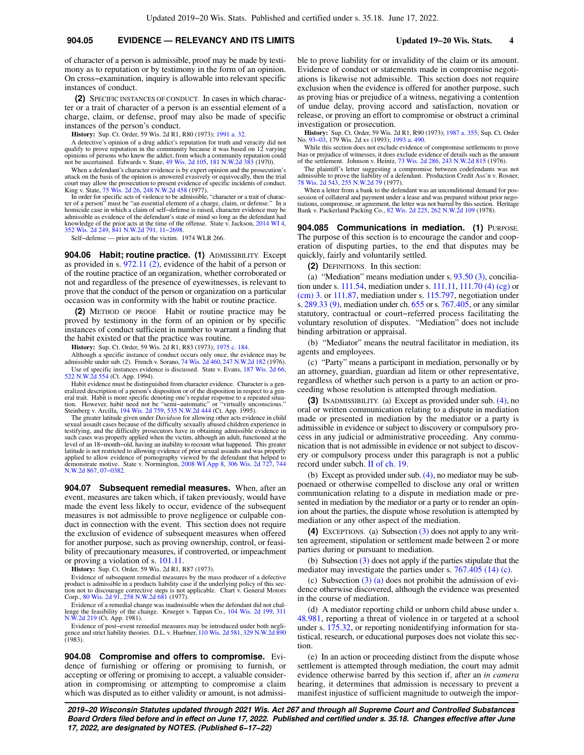of character of a person is admissible, proof may be made by testimony as to reputation or by testimony in the form of an opinion. On cross−examination, inquiry is allowable into relevant specific instances of conduct.

**(2)** SPECIFIC INSTANCES OF CONDUCT. In cases in which character or a trait of character of a person is an essential element of a charge, claim, or defense, proof may also be made of specific instances of the person's conduct.

**History:** Sup. Ct. Order, 59 Wis. 2d R1, R80 (1973); [1991 a. 32](https://docs.legis.wisconsin.gov/document/acts/1991/32).

A detective's opinion of a drug addict's reputation for truth and veracity did not qualify to prove reputation in the community because it was based on 12 varying opinions of persons who knew the addict, from which a community reputation could not be ascertained. Edwards v. State, [49 Wis. 2d 105,](https://docs.legis.wisconsin.gov/document/courts/49%20Wis.%202d%20105) [181 N.W.2d 383](https://docs.legis.wisconsin.gov/document/courts/181%20N.W.2d%20383) (1970).

When a defendant's character evidence is by expert opinion and the prosecution's attack on the basis of the opinion is answered evasively or equivocally, then the trial court may allow the prosecution to present evidence of specific incidents of conduct.<br>King v. State, [75 Wis. 2d 26,](https://docs.legis.wisconsin.gov/document/courts/75%20Wis.%202d%2026) [248 N.W.2d 458](https://docs.legis.wisconsin.gov/document/courts/248%20N.W.2d%20458) (1977).<br>In order for specific acts of violence to be admissible, "character or a trait of c

ter of a person" must be "an essential element of a charge, claim, or defense." In a homicide case in which a claim of self−defense is raised, character evidence may be admissible as evidence of the defendant's state of mind so long as the defendant had knowledge of the prior acts at the time of the offense. State v. Jackson, [2014 WI 4](https://docs.legis.wisconsin.gov/document/courts/2014%20WI%204), [352 Wis. 2d 249,](https://docs.legis.wisconsin.gov/document/courts/352%20Wis.%202d%20249) [841 N.W.2d 791,](https://docs.legis.wisconsin.gov/document/courts/841%20N.W.2d%20791) [11−2698](https://docs.legis.wisconsin.gov/document/wisupremecourt/11-2698).

Self−defense — prior acts of the victim. 1974 WLR 266.

**904.06 Habit; routine practice. (1)** ADMISSIBILITY. Except as provided in s. [972.11 \(2\)](https://docs.legis.wisconsin.gov/document/statutes/972.11(2)), evidence of the habit of a person or of the routine practice of an organization, whether corroborated or not and regardless of the presence of eyewitnesses, is relevant to prove that the conduct of the person or organization on a particular occasion was in conformity with the habit or routine practice.

**(2)** METHOD OF PROOF. Habit or routine practice may be proved by testimony in the form of an opinion or by specific instances of conduct sufficient in number to warrant a finding that the habit existed or that the practice was routine.

**History:** Sup. Ct. Order, 59 Wis. 2d R1, R83 (1973); [1975 c. 184.](https://docs.legis.wisconsin.gov/document/acts/1975/184)

Although a specific instance of conduct occurs only once, the evidence may be admissible under sub. (2). French v. Sorano, [74 Wis. 2d 460,](https://docs.legis.wisconsin.gov/document/courts/74%20Wis.%202d%20460) [247 N.W.2d 182](https://docs.legis.wisconsin.gov/document/courts/247%20N.W.2d%20182) (1976). Use of specific instances evidence is discussed. State v. Evans, [187 Wis. 2d 66](https://docs.legis.wisconsin.gov/document/courts/187%20Wis.%202d%2066), [522 N.W.2d 554](https://docs.legis.wisconsin.gov/document/courts/522%20N.W.2d%20554) (Ct. App. 1994).

Habit evidence must be distinguished from character evidence. Character is a generalized description of a person's disposition or of the disposition in respect to a general trait. Habit is more specific denoting one's regu

sexual assault cases because of the difficulty sexually abused children experience in<br>testifying, and the difficulty prosecutors have in obtaining admissible evidence in<br>such cases was properly applied when the victim, alt latitude is not restricted to allowing evidence of prior sexual assaults and was properly<br>applied to allow evidence of pornography viewed by the defendant that helped to<br>demonstrate motive. State v. Normington, 2008 WI App [N.W.2d 867,](https://docs.legis.wisconsin.gov/document/courts/744%20N.W.2d%20867) [07−0382.](https://docs.legis.wisconsin.gov/document/wicourtofappeals/07-0382)

**904.07 Subsequent remedial measures.** When, after an event, measures are taken which, if taken previously, would have made the event less likely to occur, evidence of the subsequent measures is not admissible to prove negligence or culpable conduct in connection with the event. This section does not require the exclusion of evidence of subsequent measures when offered for another purpose, such as proving ownership, control, or feasibility of precautionary measures, if controverted, or impeachment or proving a violation of s. [101.11](https://docs.legis.wisconsin.gov/document/statutes/101.11).

**History:** Sup. Ct. Order, 59 Wis. 2d R1, R87 (1973).

Evidence of subsequent remedial measures by the mass producer of a defective product is admissible in a products liability case if the underlying policy of this sec-tion not to discourage corrective steps is not applicable. Chart v. General Motors Corp., [80 Wis. 2d 91](https://docs.legis.wisconsin.gov/document/courts/80%20Wis.%202d%2091), [258 N.W.2d 681](https://docs.legis.wisconsin.gov/document/courts/258%20N.W.2d%20681) (1977).

Evidence of a remedial change was inadmissible when the defendant did not chal-lenge the feasibility of the change. Krueger v. Tappan Co., [104 Wis. 2d 199,](https://docs.legis.wisconsin.gov/document/courts/104%20Wis.%202d%20199) [311](https://docs.legis.wisconsin.gov/document/courts/311%20N.W.2d%20219) [N.W.2d 219](https://docs.legis.wisconsin.gov/document/courts/311%20N.W.2d%20219) (Ct. App. 1981).

Evidence of post−event remedial measures may be introduced under both negligence and strict liability theories. D.L. v. Huebner, [110 Wis. 2d 581](https://docs.legis.wisconsin.gov/document/courts/110%20Wis.%202d%20581), [329 N.W.2d 890](https://docs.legis.wisconsin.gov/document/courts/329%20N.W.2d%20890)  $(1983)$ .

**904.08 Compromise and offers to compromise.** Evidence of furnishing or offering or promising to furnish, or accepting or offering or promising to accept, a valuable consideration in compromising or attempting to compromise a claim which was disputed as to either validity or amount, is not admissible to prove liability for or invalidity of the claim or its amount. Evidence of conduct or statements made in compromise negotiations is likewise not admissible. This section does not require exclusion when the evidence is offered for another purpose, such as proving bias or prejudice of a witness, negativing a contention of undue delay, proving accord and satisfaction, novation or release, or proving an effort to compromise or obstruct a criminal investigation or prosecution.

**History:** Sup. Ct. Order, 59 Wis. 2d R1, R90 (1973); [1987 a. 355;](https://docs.legis.wisconsin.gov/document/acts/1987/355) Sup. Ct. Order No. 93–03, 179 Wis. 2d xv (1993); [1993 a. 490.](https://docs.legis.wisconsin.gov/document/acts/1993/490)

While this section does not exclude evidence of compromise settlements to prove bias or prejudice of witnesses, it does exclude evidence of details such as the amount of the settlement. Johnson v. Heintz, [73 Wis. 2d 286](https://docs.legis.wisconsin.gov/document/courts/73%20Wis.%202d%20286), [243 N.W.2d 815](https://docs.legis.wisconsin.gov/document/courts/243%20N.W.2d%20815) (1976).

The plaintiff's letter suggesting a compromise between codefendants was not admissible to prove the liability of a defendant. Production Credit Ass'n v. Rosner, [78 Wis. 2d 543,](https://docs.legis.wisconsin.gov/document/courts/78%20Wis.%202d%20543) [255 N.W.2d 79](https://docs.legis.wisconsin.gov/document/courts/255%20N.W.2d%2079) (1977).

When a letter from a bank to the defendant was an unconditional demand for possession of collateral and payment under a lease and was prepared without prior nego-tiations, compromise, or agreement, the letter was not barred by this section. Heritage Bank v. Packerland Packing Co., [82 Wis. 2d 225](https://docs.legis.wisconsin.gov/document/courts/82%20Wis.%202d%20225), [262 N.W.2d 109](https://docs.legis.wisconsin.gov/document/courts/262%20N.W.2d%20109) (1978).

**904.085 Communications in mediation. (1) PURPOSE.** The purpose of this section is to encourage the candor and cooperation of disputing parties, to the end that disputes may be quickly, fairly and voluntarily settled.

**(2)** DEFINITIONS. In this section:

(a) "Mediation" means mediation under s. [93.50 \(3\),](https://docs.legis.wisconsin.gov/document/statutes/93.50(3)) conciliation under s. [111.54,](https://docs.legis.wisconsin.gov/document/statutes/111.54) mediation under s. [111.11,](https://docs.legis.wisconsin.gov/document/statutes/111.11) [111.70 \(4\) \(cg\)](https://docs.legis.wisconsin.gov/document/statutes/111.70(4)(cg)) or [\(cm\) 3.](https://docs.legis.wisconsin.gov/document/statutes/111.70(4)(cm)3.) or [111.87,](https://docs.legis.wisconsin.gov/document/statutes/111.87) mediation under s. [115.797](https://docs.legis.wisconsin.gov/document/statutes/115.797), negotiation under s. [289.33 \(9\)](https://docs.legis.wisconsin.gov/document/statutes/289.33(9)), mediation under ch. [655](https://docs.legis.wisconsin.gov/document/statutes/ch.%20655) or s. [767.405](https://docs.legis.wisconsin.gov/document/statutes/767.405), or any similar statutory, contractual or court−referred process facilitating the voluntary resolution of disputes. "Mediation" does not include binding arbitration or appraisal.

(b) "Mediator" means the neutral facilitator in mediation, its agents and employees.

(c) "Party" means a participant in mediation, personally or by an attorney, guardian, guardian ad litem or other representative, regardless of whether such person is a party to an action or proceeding whose resolution is attempted through mediation.

**(3)** INADMISSIBILITY. (a) Except as provided under sub. [\(4\)](https://docs.legis.wisconsin.gov/document/statutes/904.085(4)), no oral or written communication relating to a dispute in mediation made or presented in mediation by the mediator or a party is admissible in evidence or subject to discovery or compulsory process in any judicial or administrative proceeding. Any communication that is not admissible in evidence or not subject to discovery or compulsory process under this paragraph is not a public record under subch. [II of ch. 19](https://docs.legis.wisconsin.gov/document/statutes/subch.%20II%20of%20ch.%2019).

(b) Except as provided under sub. [\(4\)](https://docs.legis.wisconsin.gov/document/statutes/904.085(4)), no mediator may be subpoenaed or otherwise compelled to disclose any oral or written communication relating to a dispute in mediation made or presented in mediation by the mediator or a party or to render an opinion about the parties, the dispute whose resolution is attempted by mediation or any other aspect of the mediation.

**(4)** EXCEPTIONS. (a) Subsection [\(3\)](https://docs.legis.wisconsin.gov/document/statutes/904.085(3)) does not apply to any written agreement, stipulation or settlement made between 2 or more parties during or pursuant to mediation.

(b) Subsection [\(3\)](https://docs.legis.wisconsin.gov/document/statutes/904.085(3)) does not apply if the parties stipulate that the mediator may investigate the parties under s. [767.405 \(14\) \(c\)](https://docs.legis.wisconsin.gov/document/statutes/767.405(14)(c)).

(c) Subsection  $(3)$  (a) does not prohibit the admission of evidence otherwise discovered, although the evidence was presented in the course of mediation.

(d) A mediator reporting child or unborn child abuse under s. [48.981,](https://docs.legis.wisconsin.gov/document/statutes/48.981) reporting a threat of violence in or targeted at a school under s. [175.32,](https://docs.legis.wisconsin.gov/document/statutes/175.32) or reporting nonidentifying information for statistical, research, or educational purposes does not violate this section.

(e) In an action or proceeding distinct from the dispute whose settlement is attempted through mediation, the court may admit evidence otherwise barred by this section if, after an *in camera* hearing, it determines that admission is necessary to prevent a manifest injustice of sufficient magnitude to outweigh the impor-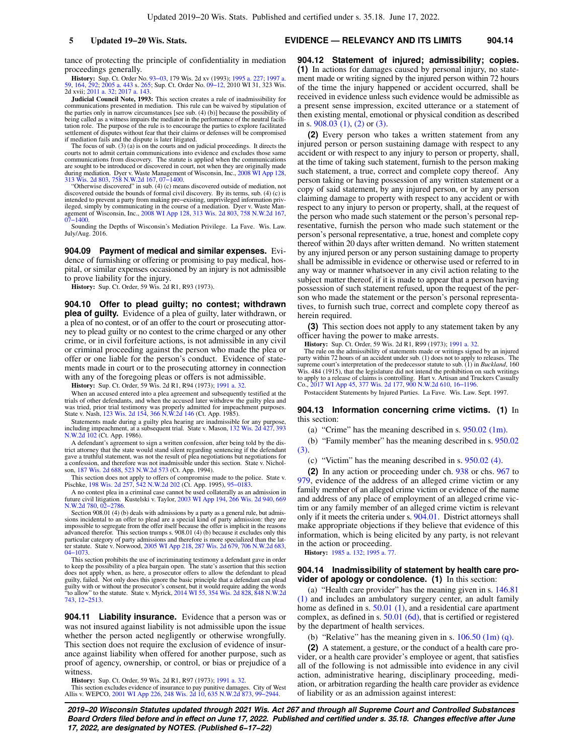#### **5 Updated 19−20 Wis. Stats. EVIDENCE — RELEVANCY AND ITS LIMITS 904.14**

tance of protecting the principle of confidentiality in mediation proceedings generally.

**History:** Sup. Ct. Order No. [93−03](https://docs.legis.wisconsin.gov/document/sco/93-03), 179 Wis. 2d xv (1993); [1995 a. 227](https://docs.legis.wisconsin.gov/document/acts/1995/227); [1997 a.](https://docs.legis.wisconsin.gov/document/acts/1997/59) [59,](https://docs.legis.wisconsin.gov/document/acts/1997/59) [164,](https://docs.legis.wisconsin.gov/document/acts/1997/164) [292;](https://docs.legis.wisconsin.gov/document/acts/1997/292) [2005 a. 443](https://docs.legis.wisconsin.gov/document/acts/2005/443) s. [265](https://docs.legis.wisconsin.gov/document/acts/2005/443,%20s.%20265); Sup. Ct. Order No. [09−12](https://docs.legis.wisconsin.gov/document/sco/09-12), 2010 WI 31, 323 Wis. 2d xvii; [2011 a. 32](https://docs.legis.wisconsin.gov/document/acts/2011/32); [2017 a. 143.](https://docs.legis.wisconsin.gov/document/acts/2017/143)

**Judicial Council Note, 1993:** This section creates a rule of inadmissibility for communications presented in mediation. This rule can be waived by stipulation of the parties only in narrow circumstances [see sub. (4) (b)] because the possibility of being called as a witness impairs the mediator in the performance of the neutral facilitation role. The purpose of the rule is to encourage the parties to explore facilitated settlement of disputes without fear that their claims or defenses will be compromised if mediation fails and the dispute is later litigated.

The focus of sub. (3) (a) is on the courts and on judicial proceedings. It directs the courts not to admit certain communications into evidence and excludes those same communications from discovery. The statute is applied when the communications are sought to be introduced or discovered in court, not when they are originally made<br>during mediation. Dyer v. Waste Management of Wisconsin, Inc., [2008 WI App 128](https://docs.legis.wisconsin.gov/document/courts/2008%20WI%20App%20128),<br>[313 Wis. 2d 803,](https://docs.legis.wisconsin.gov/document/courts/313%20Wis.%202d%20803) [758 N.W.2d 167,](https://docs.legis.wisconsin.gov/document/courts/758%20N.W.2d%20167) [07−1400.](https://docs.legis.wisconsin.gov/document/wicourtofappeals/07-1400)

"Otherwise discovered" in sub. (4) (c) means discovered outside of mediation, not discovered outside the bounds of formal civil discovery. By its terms, sub. (4) (c) is<br>intended to prevent a party from making pre-existing, unprivileged information priv-<br>lieged, simply by communicating in the course of

Sounding the Depths of Wisconsin's Mediation Privilege. La Fave. Wis. Law. July/Aug. 2016.

**904.09 Payment of medical and similar expenses.** Evidence of furnishing or offering or promising to pay medical, hospital, or similar expenses occasioned by an injury is not admissible to prove liability for the injury.

**History:** Sup. Ct. Order, 59 Wis. 2d R1, R93 (1973).

**904.10 Offer to plead guilty; no contest; withdrawn plea of guilty.** Evidence of a plea of guilty, later withdrawn, or a plea of no contest, or of an offer to the court or prosecuting attorney to plead guilty or no contest to the crime charged or any other crime, or in civil forfeiture actions, is not admissible in any civil or criminal proceeding against the person who made the plea or offer or one liable for the person's conduct. Evidence of statements made in court or to the prosecuting attorney in connection with any of the foregoing pleas or offers is not admissible.

**History:** Sup. Ct. Order, 59 Wis. 2d R1, R94 (1973); [1991 a. 32](https://docs.legis.wisconsin.gov/document/acts/1991/32).

When an accused entered into a plea agreement and subsequently testified at the trials of other defendants, and when the accused later withdrew the guilty plea and was tried, prior trial testimony was properly admitted for impeachment purposes. State v. Nash, [123 Wis. 2d 154](https://docs.legis.wisconsin.gov/document/courts/123%20Wis.%202d%20154), [366 N.W.2d 146](https://docs.legis.wisconsin.gov/document/courts/366%20N.W.2d%20146) (Ct. App. 1985).

Statements made during a guilty plea hearing are inadmissible for any purpose, including impeachment, at a subsequent trial. State v. Mason, [132 Wis. 2d 427](https://docs.legis.wisconsin.gov/document/courts/132%20Wis.%202d%20427), [393](https://docs.legis.wisconsin.gov/document/courts/393%20N.W.2d%20102) [N.W.2d 102](https://docs.legis.wisconsin.gov/document/courts/393%20N.W.2d%20102) (Ct. App. 1986).

A defendant's agreement to sign a written confession, after being told by the district attorney that the state would stand silent regarding sentencing if the defendant gave a truthful statement, was not the result of plea negotiations but negotiations for a confession, and therefore was not inadmissible under this section. State v. Nicholson, [187 Wis. 2d 688](https://docs.legis.wisconsin.gov/document/courts/187%20Wis.%202d%20688), [523 N.W.2d 573](https://docs.legis.wisconsin.gov/document/courts/523%20N.W.2d%20573) (Ct. App. 1994).

This section does not apply to offers of compromise made to the police. State v. Pischke, [198 Wis. 2d 257](https://docs.legis.wisconsin.gov/document/courts/198%20Wis.%202d%20257), [542 N.W.2d 202](https://docs.legis.wisconsin.gov/document/courts/542%20N.W.2d%20202) (Ct. App. 1995), [95−0183](https://docs.legis.wisconsin.gov/document/wicourtofappeals/95-0183).

A no contest plea in a criminal case cannot be used collaterally as an admission in future civil litigation. Kustelski v. Taylor, [2003 WI App 194,](https://docs.legis.wisconsin.gov/document/courts/2003%20WI%20App%20194) [266 Wis. 2d 940](https://docs.legis.wisconsin.gov/document/courts/266%20Wis.%202d%20940), [669](https://docs.legis.wisconsin.gov/document/courts/669%20N.W.2d%20780) [N.W.2d 780,](https://docs.legis.wisconsin.gov/document/courts/669%20N.W.2d%20780) [02−2786.](https://docs.legis.wisconsin.gov/document/wicourtofappeals/02-2786)

Section 908.01 (4) (b) deals with admissions by a party as a general rule, but admissions incidental to an offer to plead are a special kind of party admission: they are<br>impossible to segregate from the offer itself because the offer is implicit in the reasons<br>advanced therefor. This section trumps s. 908 particular category of party admissions and therefore is more specialized than the lat-ter statute. State v. Norwood, [2005 WI App 218,](https://docs.legis.wisconsin.gov/document/courts/2005%20WI%20App%20218) [287 Wis. 2d 679](https://docs.legis.wisconsin.gov/document/courts/287%20Wis.%202d%20679), [706 N.W.2d 683](https://docs.legis.wisconsin.gov/document/courts/706%20N.W.2d%20683), [04−1073](https://docs.legis.wisconsin.gov/document/wicourtofappeals/04-1073).

This section prohibits the use of incriminating testimony a defendant gave in order to keep the possibility of a plea bargain open. The state's assertion that this section does not apply when, as here, a prosecutor offers to allow the defendant to plead<br>guilty, failed. Not only does this ignore the basic principle that a defendant can plead<br>guilty with or without the prosecutor's consent, bu "to allow" to the statute. State v. Myrick, [2014 WI 55](https://docs.legis.wisconsin.gov/document/courts/2014%20WI%2055), [354 Wis. 2d 828](https://docs.legis.wisconsin.gov/document/courts/354%20Wis.%202d%20828), [848 N.W.2d](https://docs.legis.wisconsin.gov/document/courts/848%20N.W.2d%20743) [743](https://docs.legis.wisconsin.gov/document/courts/848%20N.W.2d%20743), [12−2513](https://docs.legis.wisconsin.gov/document/wisupremecourt/12-2513).

**904.11 Liability insurance.** Evidence that a person was or was not insured against liability is not admissible upon the issue whether the person acted negligently or otherwise wrongfully. This section does not require the exclusion of evidence of insurance against liability when offered for another purpose, such as proof of agency, ownership, or control, or bias or prejudice of a witness.

**History:** Sup. Ct. Order, 59 Wis. 2d R1, R97 (1973); [1991 a. 32](https://docs.legis.wisconsin.gov/document/acts/1991/32).

This section excludes evidence of insurance to pay punitive damages. City of West Allis v. WEPCO, [2001 WI App 226](https://docs.legis.wisconsin.gov/document/courts/2001%20WI%20App%20226), [248 Wis. 2d 10](https://docs.legis.wisconsin.gov/document/courts/248%20Wis.%202d%2010), [635 N.W.2d 873](https://docs.legis.wisconsin.gov/document/courts/635%20N.W.2d%20873), [99−2944](https://docs.legis.wisconsin.gov/document/wicourtofappeals/99-2944).

**904.12 Statement of injured; admissibility; copies. (1)** In actions for damages caused by personal injury, no statement made or writing signed by the injured person within 72 hours of the time the injury happened or accident occurred, shall be received in evidence unless such evidence would be admissible as a present sense impression, excited utterance or a statement of then existing mental, emotional or physical condition as described in s. [908.03 \(1\)](https://docs.legis.wisconsin.gov/document/statutes/908.03(1)), [\(2\)](https://docs.legis.wisconsin.gov/document/statutes/908.03(2)) or [\(3\).](https://docs.legis.wisconsin.gov/document/statutes/908.03(3))

**(2)** Every person who takes a written statement from any injured person or person sustaining damage with respect to any accident or with respect to any injury to person or property, shall, at the time of taking such statement, furnish to the person making such statement, a true, correct and complete copy thereof. Any person taking or having possession of any written statement or a copy of said statement, by any injured person, or by any person claiming damage to property with respect to any accident or with respect to any injury to person or property, shall, at the request of the person who made such statement or the person's personal representative, furnish the person who made such statement or the person's personal representative, a true, honest and complete copy thereof within 20 days after written demand. No written statement by any injured person or any person sustaining damage to property shall be admissible in evidence or otherwise used or referred to in any way or manner whatsoever in any civil action relating to the subject matter thereof, if it is made to appear that a person having possession of such statement refused, upon the request of the person who made the statement or the person's personal representatives, to furnish such true, correct and complete copy thereof as herein required.

**(3)** This section does not apply to any statement taken by any officer having the power to make arrests.

**History:** Sup. Ct. Order, 59 Wis. 2d R1, R99 (1973); [1991 a. 32.](https://docs.legis.wisconsin.gov/document/acts/1991/32)

The rule on the admissibility of statements made or writings signed by an injured party within 72 hours of an accident under sub. (1) does not to apply to releases. The<br>supreme court's interpretation of the predecessor statute to sub. (1) in *Buckland,* 160<br>Wis. 484 (1915), that the legislature did not to apply to a release of claims is controlling. Hart v. Artisan and Truckers Casualty Co., [2017 WI App 45,](https://docs.legis.wisconsin.gov/document/courts/2017%20WI%20App%2045) [377 Wis. 2d 177](https://docs.legis.wisconsin.gov/document/courts/377%20Wis.%202d%20177), [900 N.W.2d 610](https://docs.legis.wisconsin.gov/document/courts/900%20N.W.2d%20610), [16−1196.](https://docs.legis.wisconsin.gov/document/wicourtofappeals/16-1196)

Postaccident Statements by Injured Parties. La Fave. Wis. Law. Sept. 1997.

#### **904.13 Information concerning crime victims. (1)** In this section:

(a) "Crime" has the meaning described in s. [950.02 \(1m\)](https://docs.legis.wisconsin.gov/document/statutes/950.02(1m)).

(b) "Family member" has the meaning described in s. [950.02](https://docs.legis.wisconsin.gov/document/statutes/950.02(3)) [\(3\).](https://docs.legis.wisconsin.gov/document/statutes/950.02(3))

(c) "Victim" has the meaning described in s. [950.02 \(4\)](https://docs.legis.wisconsin.gov/document/statutes/950.02(4)).

**(2)** In any action or proceeding under ch. [938](https://docs.legis.wisconsin.gov/document/statutes/ch.%20938) or chs. [967](https://docs.legis.wisconsin.gov/document/statutes/ch.%20967) to [979,](https://docs.legis.wisconsin.gov/document/statutes/ch.%20979) evidence of the address of an alleged crime victim or any family member of an alleged crime victim or evidence of the name and address of any place of employment of an alleged crime victim or any family member of an alleged crime victim is relevant only if it meets the criteria under s. [904.01.](https://docs.legis.wisconsin.gov/document/statutes/904.01) District attorneys shall make appropriate objections if they believe that evidence of this information, which is being elicited by any party, is not relevant in the action or proceeding.

**History:** [1985 a. 132;](https://docs.legis.wisconsin.gov/document/acts/1985/132) 1995 a. 7

# **904.14 Inadmissibility of statement by health care provider of apology or condolence. (1)** In this section:

(a) "Health care provider" has the meaning given in s. [146.81](https://docs.legis.wisconsin.gov/document/statutes/146.81(1)) [\(1\)](https://docs.legis.wisconsin.gov/document/statutes/146.81(1)) and includes an ambulatory surgery center, an adult family home as defined in s. [50.01 \(1\),](https://docs.legis.wisconsin.gov/document/statutes/50.01(1)) and a residential care apartment complex, as defined in s. [50.01 \(6d\),](https://docs.legis.wisconsin.gov/document/statutes/50.01(6d)) that is certified or registered by the department of health services.

(b) "Relative" has the meaning given in s.  $106.50$  (1m) (q).

**(2)** A statement, a gesture, or the conduct of a health care provider, or a health care provider's employee or agent, that satisfies all of the following is not admissible into evidence in any civil action, administrative hearing, disciplinary proceeding, mediation, or arbitration regarding the health care provider as evidence of liability or as an admission against interest: